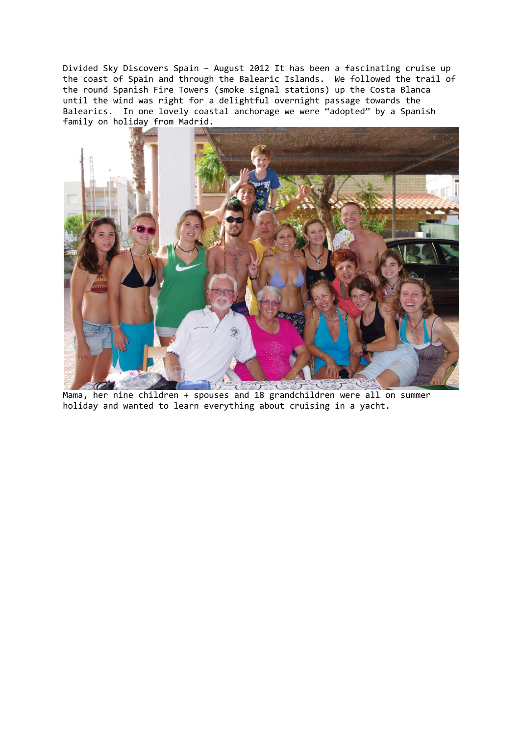Divided Sky Discovers Spain – August 2012 It has been a fascinating cruise up the coast of Spain and through the Balearic Islands. We followed the trail of the round Spanish Fire Towers (smoke signal stations) up the Costa Blanca until the wind was right for a delightful overnight passage towards the Balearics. In one lovely coastal anchorage we were "adopted" by a Spanish family on holiday from Madrid.



Mama, her nine children + spouses and 18 grandchildren were all on summer holiday and wanted to learn everything about cruising in a yacht.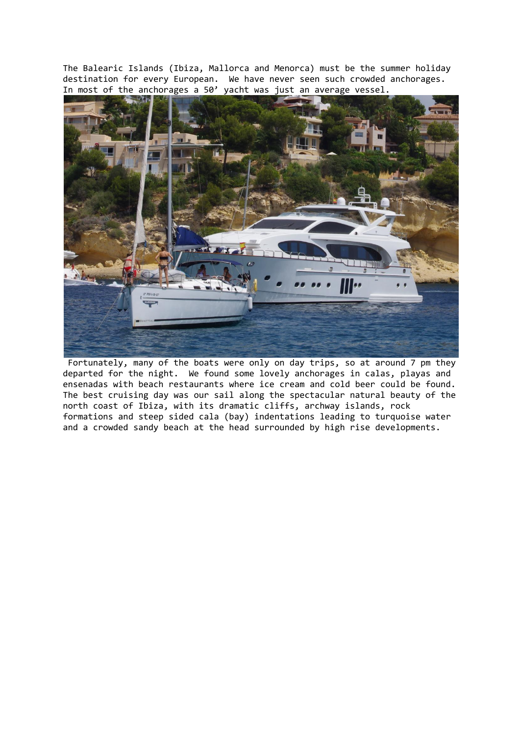The Balearic Islands (Ibiza, Mallorca and Menorca) must be the summer holiday destination for every European. We have never seen such crowded anchorages. In most of the anchorages a 50' yacht was just an average vessel.



Fortunately, many of the boats were only on day trips, so at around 7 pm they departed for the night. We found some lovely anchorages in calas, playas and ensenadas with beach restaurants where ice cream and cold beer could be found. The best cruising day was our sail along the spectacular natural beauty of the north coast of Ibiza, with its dramatic cliffs, archway islands, rock formations and steep sided cala (bay) indentations leading to turquoise water and a crowded sandy beach at the head surrounded by high rise developments.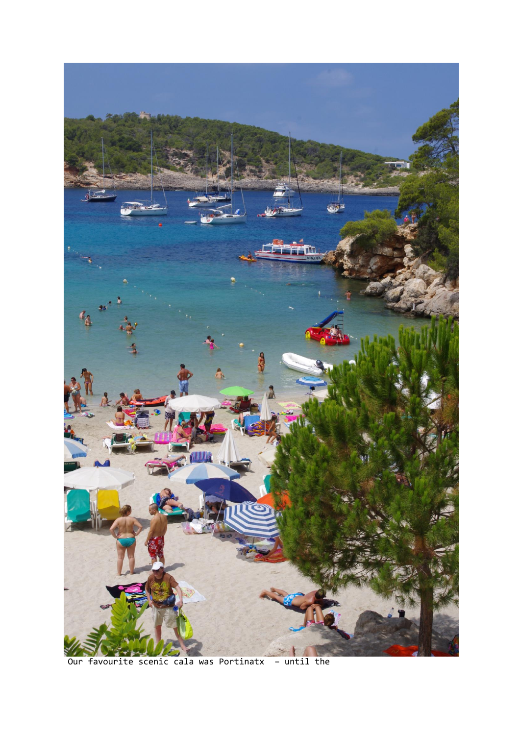

Our favourite scenic cala was Portinatx - until the